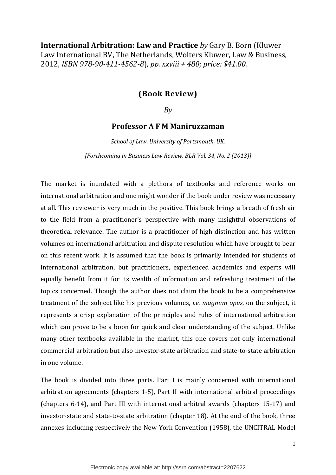International Arbitration: Law and Practice by Gary B. Born (Kluwer Law International BV, The Netherlands, Wolters Kluwer, Law & Business, 2012, ISBN 978-90-411-4562-8), pp. xxviii + 480; price: \$41.00.

## (Book Review)

 $Bv$ 

## Professor A F M Maniruzzaman

School of Law, University of Portsmouth, UK. [Forthcoming in Business Law Review, BLR Vol. 34, No. 2 (2013)]

The market is inundated with a plethora of textbooks and reference works on international arbitration and one might wonder if the book under review was necessary at all. This reviewer is very much in the positive. This book brings a breath of fresh air to the field from a practitioner's perspective with many insightful observations of theoretical relevance. The author is a practitioner of high distinction and has written volumes on international arbitration and dispute resolution which have brought to bear on this recent work. It is assumed that the book is primarily intended for students of international arbitration, but practitioners, experienced academics and experts will equally benefit from it for its wealth of information and refreshing treatment of the topics concerned. Though the author does not claim the book to be a comprehensive treatment of the subject like his previous volumes, i.e. magnum opus, on the subject, it represents a crisp explanation of the principles and rules of international arbitration which can prove to be a boon for quick and clear understanding of the subject. Unlike many other textbooks available in the market, this one covers not only international commercial arbitration but also investor-state arbitration and state-to-state arbitration in one volume.

The book is divided into three parts. Part I is mainly concerned with international arbitration agreements (chapters 1-5), Part II with international arbitral proceedings (chapters 6-14), and Part III with international arbitral awards (chapters 15-17) and investor-state and state-to-state arbitration (chapter 18). At the end of the book, three annexes including respectively the New York Convention (1958), the UNCITRAL Model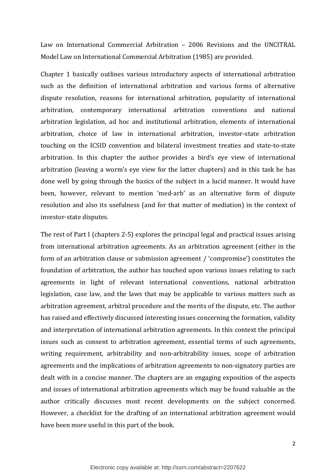Law on International Commercial Arbitration – 2006 Revisions and the UNCITRAL Model Law on International Commercial Arbitration (1985) are provided.

Chapter 1 basically outlines various introductory aspects of international arbitration such as the definition of international arbitration and various forms of alternative dispute resolution, reasons for international arbitration, popularity of international arbitration, contemporary international arbitration conventions and national arbitration legislation, ad hoc and institutional arbitration, elements of international arbitration, choice of law in international arbitration, investor-state arbitration touching on the ICSID convention and bilateral investment treaties and state-to-state arbitration. In this chapter the author provides a bird's eye view of international arbitration (leaving a worm's eye view for the latter chapters) and in this task he has done well by going through the basics of the subject in a lucid manner. It would have been, however, relevant to mention 'med-arb' as an alternative form of dispute resolution and also its usefulness (and for that matter of mediation) in the context of investor-state disputes.

The rest of Part I (chapters 2-5) explores the principal legal and practical issues arising from international arbitration agreements. As an arbitration agreement (either in the form of an arbitration clause or submission agreement / 'compromise') constitutes the foundation of arbitration, the author has touched upon various issues relating to such agreements in light of relevant international conventions, national arbitration legislation, case law, and the laws that may be applicable to various matters such as arbitration agreement, arbitral procedure and the merits of the dispute, etc. The author has raised and effectively discussed interesting issues concerning the formation, validity and interpretation of international arbitration agreements. In this context the principal issues such as consent to arbitration agreement, essential terms of such agreements, writing requirement, arbitrability and non-arbitrability issues, scope of arbitration agreements and the implications of arbitration agreements to non-signatory parties are dealt with in a concise manner. The chapters are an engaging exposition of the aspects and issues of international arbitration agreements which may be found valuable as the author critically discusses most recent developments on the subject concerned. However, a checklist for the drafting of an international arbitration agreement would have been more useful in this part of the book.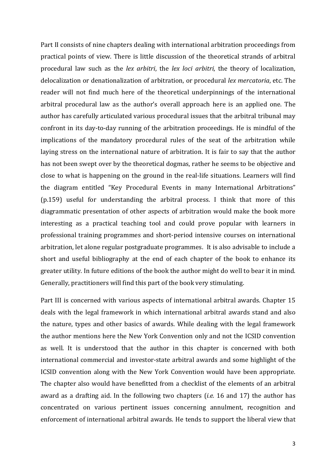Part II consists of nine chapters dealing with international arbitration proceedings from practical points of view. There is little discussion of the theoretical strands of arbitral procedural law such as the lex arbitri, the lex loci arbitri, the theory of localization, delocalization or denationalization of arbitration, or procedural lex mercatoria, etc. The reader will not find much here of the theoretical underpinnings of the international arbitral procedural law as the author's overall approach here is an applied one. The author has carefully articulated various procedural issues that the arbitral tribunal may confront in its day-to-day running of the arbitration proceedings. He is mindful of the implications of the mandatory procedural rules of the seat of the arbitration while laying stress on the international nature of arbitration. It is fair to say that the author has not been swept over by the theoretical dogmas, rather he seems to be objective and close to what is happening on the ground in the real-life situations. Learners will find the diagram entitled "Key Procedural Events in many International Arbitrations" (p.159) useful for understanding the arbitral process. I think that more of this diagrammatic presentation of other aspects of arbitration would make the book more interesting as a practical teaching tool and could prove popular with learners in professional training programmes and short-period intensive courses on international arbitration, let alone regular postgraduate programmes. It is also advisable to include a short and useful bibliography at the end of each chapter of the book to enhance its greater utility. In future editions of the book the author might do well to bear it in mind. Generally, practitioners will find this part of the book very stimulating.

Part III is concerned with various aspects of international arbitral awards. Chapter 15 deals with the legal framework in which international arbitral awards stand and also the nature, types and other basics of awards. While dealing with the legal framework the author mentions here the New York Convention only and not the ICSID convention as well. It is understood that the author in this chapter is concerned with both international commercial and investor-state arbitral awards and some highlight of the ICSID convention along with the New York Convention would have been appropriate. The chapter also would have benefitted from a checklist of the elements of an arbitral award as a drafting aid. In the following two chapters (*i.e.* 16 and 17) the author has concentrated on various pertinent issues concerning annulment, recognition and enforcement of international arbitral awards. He tends to support the liberal view that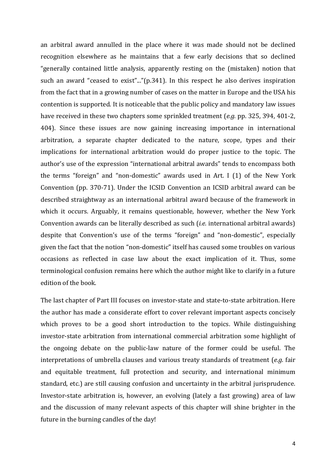an arbitral award annulled in the place where it was made should not be declined recognition elsewhere as he maintains that a few early decisions that so declined "generally contained little analysis, apparently resting on the (mistaken) notion that such an award "ceased to exist"..."(p.341). In this respect he also derives inspiration from the fact that in a growing number of cases on the matter in Europe and the USA his contention is supported. It is noticeable that the public policy and mandatory law issues have received in these two chapters some sprinkled treatment (e.g. pp. 325, 394, 401-2, 404). Since these issues are now gaining increasing importance in international arbitration, a separate chapter dedicated to the nature, scope, types and their implications for international arbitration would do proper justice to the topic. The author's use of the expression "international arbitral awards" tends to encompass both the terms "foreign" and "non-domestic" awards used in Art. I (1) of the New York Convention (pp. 370-71). Under the ICSID Convention an ICSID arbitral award can be described straightway as an international arbitral award because of the framework in which it occurs. Arguably, it remains questionable, however, whether the New York Convention awards can be literally described as such (i.e. international arbitral awards) despite that Convention's use of the terms "foreign" and "non-domestic", especially given the fact that the notion "non-domestic" itself has caused some troubles on various occasions as reflected in case law about the exact implication of it. Thus, some terminological confusion remains here which the author might like to clarify in a future edition of the book.

The last chapter of Part III focuses on investor-state and state-to-state arbitration. Here the author has made a considerate effort to cover relevant important aspects concisely which proves to be a good short introduction to the topics. While distinguishing investor-state arbitration from international commercial arbitration some highlight of the ongoing debate on the public-law nature of the former could be useful. The interpretations of umbrella clauses and various treaty standards of treatment (e.g. fair and equitable treatment, full protection and security, and international minimum standard, etc.) are still causing confusion and uncertainty in the arbitral jurisprudence. Investor-state arbitration is, however, an evolving (lately a fast growing) area of law and the discussion of many relevant aspects of this chapter will shine brighter in the future in the burning candles of the day!